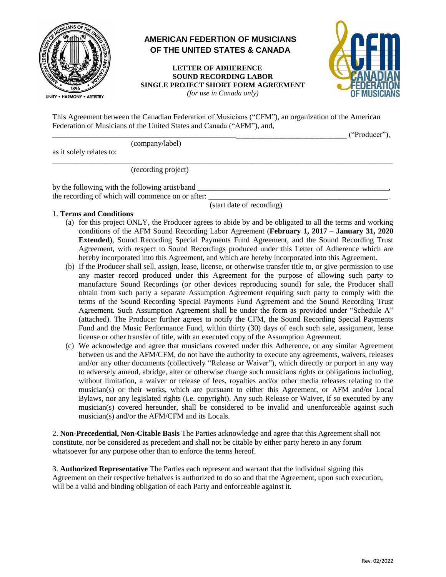

# **AMERICAN FEDERTION OF MUSICIANS OF THE UNITED STATES & CANADA**

 **LETTER OF ADHERENCE SOUND RECORDING LABOR SINGLE PROJECT SHORT FORM AGREEMENT**  *(for use in Canada only)* 



This Agreement between the Canadian Federation of Musicians ("CFM"), an organization of the American Federation of Musicians of the United States and Canada ("AFM"), and,

\_\_\_\_\_\_\_\_\_\_\_\_\_\_\_\_\_\_\_\_\_\_\_\_\_\_\_\_\_\_\_\_\_\_\_\_\_\_\_\_\_\_\_\_\_\_\_\_\_\_\_\_\_\_\_\_\_\_\_\_\_\_\_\_\_\_\_\_\_\_\_\_\_\_\_\_\_ ("Producer"), (company/label) as it solely relates to:  $\overline{\phantom{a}}$  ,  $\overline{\phantom{a}}$  ,  $\overline{\phantom{a}}$  ,  $\overline{\phantom{a}}$  ,  $\overline{\phantom{a}}$  ,  $\overline{\phantom{a}}$  ,  $\overline{\phantom{a}}$  ,  $\overline{\phantom{a}}$  ,  $\overline{\phantom{a}}$  ,  $\overline{\phantom{a}}$  ,  $\overline{\phantom{a}}$  ,  $\overline{\phantom{a}}$  ,  $\overline{\phantom{a}}$  ,  $\overline{\phantom{a}}$  ,  $\overline{\phantom{a}}$  ,  $\overline{\phantom{a}}$ (recording project) by the following with the following artist/band \_\_\_\_\_\_\_\_\_\_\_\_\_\_\_\_\_\_\_\_\_\_\_\_\_\_\_\_\_\_\_\_\_

the recording of which will commence on or after:

(start date of recording)

## 1. **Terms and Conditions**

- (a) for this project ONLY, the Producer agrees to abide by and be obligated to all the terms and working conditions of the AFM Sound Recording Labor Agreement (**February 1, 2017 – January 31, 2020 Extended**), Sound Recording Special Payments Fund Agreement, and the Sound Recording Trust Agreement, with respect to Sound Recordings produced under this Letter of Adherence which are hereby incorporated into this Agreement, and which are hereby incorporated into this Agreement.
- (b) If the Producer shall sell, assign, lease, license, or otherwise transfer title to, or give permission to use any master record produced under this Agreement for the purpose of allowing such party to manufacture Sound Recordings (or other devices reproducing sound) for sale, the Producer shall obtain from such party a separate Assumption Agreement requiring such party to comply with the terms of the Sound Recording Special Payments Fund Agreement and the Sound Recording Trust Agreement. Such Assumption Agreement shall be under the form as provided under "Schedule A" (attached). The Producer further agrees to notify the CFM, the Sound Recording Special Payments Fund and the Music Performance Fund, within thirty (30) days of each such sale, assignment, lease license or other transfer of title, with an executed copy of the Assumption Agreement.
- (c) We acknowledge and agree that musicians covered under this Adherence, or any similar Agreement between us and the AFM/CFM, do not have the authority to execute any agreements, waivers, releases and/or any other documents (collectively "Release or Waiver"), which directly or purport in any way to adversely amend, abridge, alter or otherwise change such musicians rights or obligations including, without limitation, a waiver or release of fees, royalties and/or other media releases relating to the musician(s) or their works, which are pursuant to either this Agreement, or AFM and/or Local Bylaws, nor any legislated rights (i.e. copyright). Any such Release or Waiver, if so executed by any musician(s) covered hereunder, shall be considered to be invalid and unenforceable against such musician(s) and/or the AFM/CFM and its Locals.

2. **Non-Precedential, Non-Citable Basis** The Parties acknowledge and agree that this Agreement shall not constitute, nor be considered as precedent and shall not be citable by either party hereto in any forum whatsoever for any purpose other than to enforce the terms hereof.

3. **Authorized Representative** The Parties each represent and warrant that the individual signing this Agreement on their respective behalves is authorized to do so and that the Agreement, upon such execution, will be a valid and binding obligation of each Party and enforceable against it.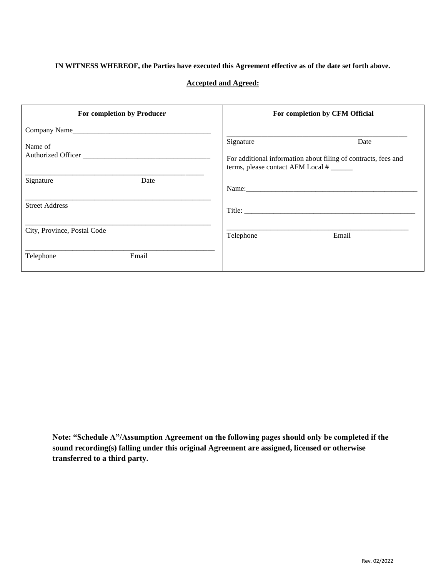## **IN WITNESS WHEREOF, the Parties have executed this Agreement effective as of the date set forth above.**

## **Accepted and Agreed:**

| For completion by Producer  | For completion by CFM Official                                                                      |
|-----------------------------|-----------------------------------------------------------------------------------------------------|
| Company Name                |                                                                                                     |
| Name of                     | Signature<br>Date                                                                                   |
| Authorized Officer          | For additional information about filing of contracts, fees and<br>terms, please contact AFM Local # |
| Signature<br>Date           |                                                                                                     |
| <b>Street Address</b>       |                                                                                                     |
| City, Province, Postal Code | Telephone<br>Email                                                                                  |
| Email<br>Telephone          |                                                                                                     |

**Note: "Schedule A"/Assumption Agreement on the following pages should only be completed if the sound recording(s) falling under this original Agreement are assigned, licensed or otherwise transferred to a third party.**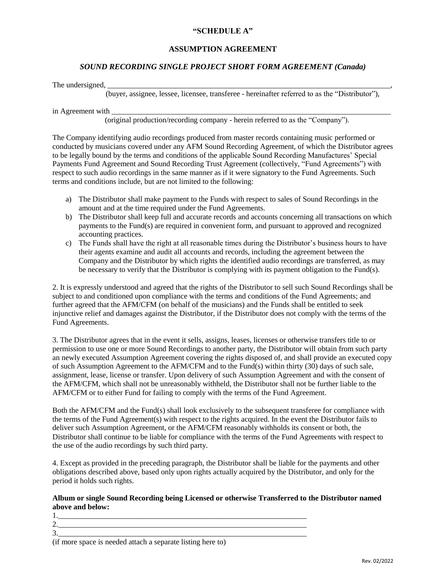## **"SCHEDULE A"**

## **ASSUMPTION AGREEMENT**

## *SOUND RECORDING SINGLE PROJECT SHORT FORM AGREEMENT (Canada)*

The undersigned, \_\_\_\_\_\_\_\_\_\_\_\_\_\_\_\_\_\_\_\_\_\_\_\_\_\_\_\_\_\_\_\_\_\_\_\_\_\_\_\_\_\_\_\_\_\_\_\_\_\_\_\_\_\_\_\_\_\_\_\_\_\_\_\_\_\_\_\_\_\_\_\_\_\_,

(buyer, assignee, lessee, licensee, transferee - hereinafter referred to as the "Distributor"),

in Agreement with \_\_\_\_\_\_\_\_\_\_\_\_\_\_\_\_\_\_\_\_\_\_\_\_\_\_\_\_\_\_\_\_\_\_\_\_\_\_\_\_\_\_\_\_\_\_\_\_\_\_\_\_\_\_\_\_\_\_\_\_\_\_\_\_\_\_\_\_\_\_\_\_\_

(original production/recording company - herein referred to as the "Company").

The Company identifying audio recordings produced from master records containing music performed or conducted by musicians covered under any AFM Sound Recording Agreement, of which the Distributor agrees to be legally bound by the terms and conditions of the applicable Sound Recording Manufactures' Special Payments Fund Agreement and Sound Recording Trust Agreement (collectively, "Fund Agreements") with respect to such audio recordings in the same manner as if it were signatory to the Fund Agreements. Such terms and conditions include, but are not limited to the following:

- a) The Distributor shall make payment to the Funds with respect to sales of Sound Recordings in the amount and at the time required under the Fund Agreements.
- b) The Distributor shall keep full and accurate records and accounts concerning all transactions on which payments to the Fund(s) are required in convenient form, and pursuant to approved and recognized accounting practices.
- c) The Funds shall have the right at all reasonable times during the Distributor's business hours to have their agents examine and audit all accounts and records, including the agreement between the Company and the Distributor by which rights the identified audio recordings are transferred, as may be necessary to verify that the Distributor is complying with its payment obligation to the Fund(s).

2. It is expressly understood and agreed that the rights of the Distributor to sell such Sound Recordings shall be subject to and conditioned upon compliance with the terms and conditions of the Fund Agreements; and further agreed that the AFM/CFM (on behalf of the musicians) and the Funds shall be entitled to seek injunctive relief and damages against the Distributor, if the Distributor does not comply with the terms of the Fund Agreements.

3. The Distributor agrees that in the event it sells, assigns, leases, licenses or otherwise transfers title to or permission to use one or more Sound Recordings to another party, the Distributor will obtain from such party an newly executed Assumption Agreement covering the rights disposed of, and shall provide an executed copy of such Assumption Agreement to the AFM/CFM and to the Fund(s) within thirty (30) days of such sale, assignment, lease, license or transfer. Upon delivery of such Assumption Agreement and with the consent of the AFM/CFM, which shall not be unreasonably withheld, the Distributor shall not be further liable to the AFM/CFM or to either Fund for failing to comply with the terms of the Fund Agreement.

Both the AFM/CFM and the Fund(s) shall look exclusively to the subsequent transferee for compliance with the terms of the Fund Agreement(s) with respect to the rights acquired. In the event the Distributor fails to deliver such Assumption Agreement, or the AFM/CFM reasonably withholds its consent or both, the Distributor shall continue to be liable for compliance with the terms of the Fund Agreements with respect to the use of the audio recordings by such third party.

4. Except as provided in the preceding paragraph, the Distributor shall be liable for the payments and other obligations described above, based only upon rights actually acquired by the Distributor, and only for the period it holds such rights.

## **Album or single Sound Recording being Licensed or otherwise Transferred to the Distributor named above and below:**

1.\_\_\_\_\_\_\_\_\_\_\_\_\_\_\_\_\_\_\_\_\_\_\_\_\_\_\_\_\_\_\_\_\_\_\_\_\_\_\_\_\_\_\_\_\_\_\_\_\_\_\_\_\_\_\_\_\_\_\_\_\_\_\_\_\_ 2.\_\_\_\_\_\_\_\_\_\_\_\_\_\_\_\_\_\_\_\_\_\_\_\_\_\_\_\_\_\_\_\_\_\_\_\_\_\_\_\_\_\_\_\_\_\_\_\_\_\_\_\_\_\_\_\_\_\_\_\_\_\_\_\_\_ 3.\_\_\_\_\_\_\_\_\_\_\_\_\_\_\_\_\_\_\_\_\_\_\_\_\_\_\_\_\_\_\_\_\_\_\_\_\_\_\_\_\_\_\_\_\_\_\_\_\_\_\_\_\_\_\_\_\_\_\_\_\_\_\_\_\_

(if more space is needed attach a separate listing here to)